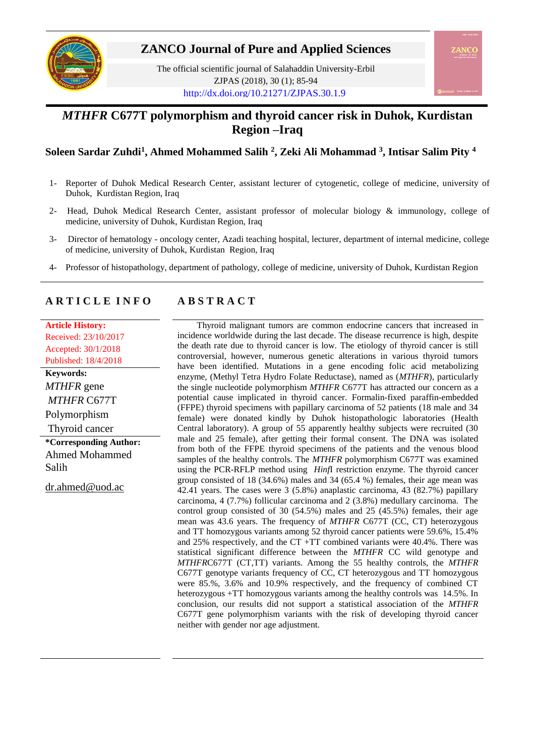

# **ZANCO Journal of Pure and Applied Sciences**

The official scientific journal of Salahaddin University-Erbil ZJPAS (2018), 30 (1); 85-94 <http://dx.doi.org/10.21271/ZJPAS.30.1.9>

# *MTHFR* **C677T polymorphism and thyroid cancer risk in Duhok, Kurdistan Region –Iraq**

## **Soleen Sardar Zuhdi<sup>1</sup> , Ahmed Mohammed Salih <sup>2</sup> , Zeki Ali Mohammad <sup>3</sup> , Intisar Salim Pity <sup>4</sup>**

- 1- Reporter of Duhok Medical Research Center, assistant lecturer of cytogenetic, college of medicine, university of Duhok, Kurdistan Region, Iraq
- 2- Head, Duhok Medical Research Center, assistant professor of molecular biology & immunology, college of medicine, university of Duhok, Kurdistan Region, Iraq
- 3- Director of hematology oncology center, Azadi teaching hospital, lecturer, department of internal medicine, college of medicine, university of Duhok, Kurdistan Region, Iraq
- 4- Professor of histopathology, department of pathology, college of medicine, university of Duhok, Kurdistan Region

# **A R T I C L E I N F O A B S T R A C T**

**Article History:** Received: 23/10/2017 Accepted: 30/1/2018 Published: 18/4/2018 **Keywords:** 

*MTHFR* gene *MTHFR* C677T Polymorphism Thyroid cancer **\*Corresponding Author:** Ahmed Mohammed Salih

[dr.ahmed@uod.ac](mailto:dr.ahmed@uod.ac)

Thyroid malignant tumors are common endocrine cancers that increased in incidence worldwide during the last decade. The disease recurrence is high, despite the death rate due to thyroid cancer is low. The etiology of thyroid cancer is still controversial, however, numerous genetic alterations in various thyroid tumors have been identified. Mutations in a gene encoding folic acid metabolizing enzyme, (Methyl Tetra Hydro Folate Reductase), named as (*MTHFR*), particularly the single nucleotide polymorphism *MTHFR* C677T has attracted our concern as a potential cause implicated in thyroid cancer. Formalin-fixed paraffin-embedded (FFPE) thyroid specimens with papillary carcinoma of 52 patients (18 male and 34 female) were donated kindly by Duhok histopathologic laboratories (Health Central laboratory). A group of 55 apparently healthy subjects were recruited (30 male and 25 female), after getting their formal consent. The DNA was isolated from both of the FFPE thyroid specimens of the patients and the venous blood samples of the healthy controls. The *MTHFR* polymorphism C677T was examined using the PCR-RFLP method using *Hinf*I restriction enzyme. The thyroid cancer group consisted of 18 (34.6%) males and 34 (65.4 %) females, their age mean was 42.41 years. The cases were 3 (5.8%) anaplastic carcinoma, 43 (82.7%) papillary carcinoma, 4 (7.7%) follicular carcinoma and 2 (3.8%) medullary carcinoma. The control group consisted of 30 (54.5%) males and 25 (45.5%) females, their age mean was 43.6 years. The frequency of *MTHFR* C677T (CC, CT) heterozygous and TT homozygous variants among 52 thyroid cancer patients were 59.6%, 15.4% and 25% respectively, and the CT +TT combined variants were 40.4%. There was statistical significant difference between the *MTHFR* CC wild genotype and *MTHFR*C677T (CT,TT) variants. Among the 55 healthy controls, the *MTHFR* C677T genotype variants frequency of CC, CT heterozygous and TT homozygous were 85.%, 3.6% and 10.9% respectively, and the frequency of combined CT heterozygous +TT homozygous variants among the healthy controls was 14.5%. In conclusion, our results did not support a statistical association of the *MTHFR* C677T gene polymorphism variants with the risk of developing thyroid cancer neither with gender nor age adjustment.

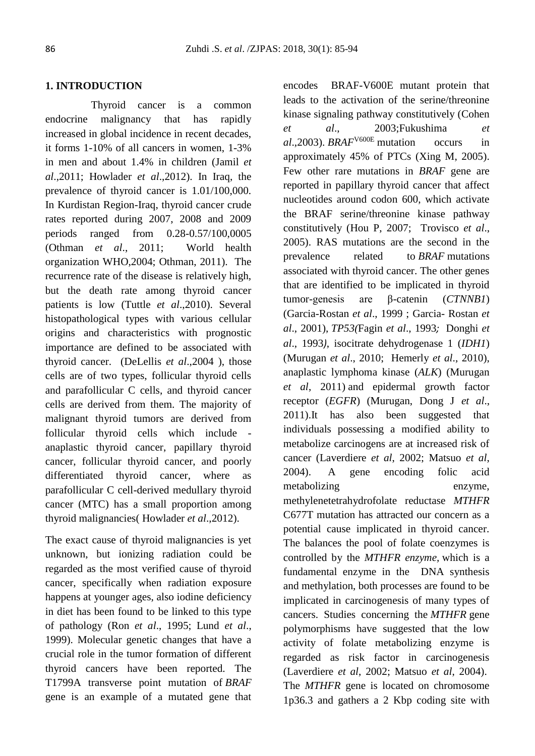### **1. INTRODUCTION**

 Thyroid cancer is a common endocrine malignancy that has rapidly increased in global incidence in recent decades, it forms 1-10% of all cancers in women, 1-3% in men and about 1.4% in children (Jamil *et al*.,2011; Howlader *et al*.,2012). In Iraq, the prevalence of thyroid cancer is 1.01/100,000. In Kurdistan Region-Iraq, thyroid cancer crude rates reported during 2007, 2008 and 2009 periods ranged from 0.28-0.57/100,0005 (Othman *et al*., 2011; World health organization WHO,2004; Othman, 2011). The recurrence rate of the disease is relatively high, but the death rate among thyroid cancer patients is low (Tuttle *et al*.,2010). Several histopathological types with various cellular origins and characteristics with prognostic importance are defined to be associated with thyroid cancer. (DeLellis *et al*.,2004 ), those cells are of two types, follicular thyroid cells and parafollicular C cells, and thyroid cancer cells are derived from them. The majority of malignant thyroid tumors are derived from follicular thyroid cells which include anaplastic thyroid cancer, papillary thyroid cancer, follicular thyroid cancer, and poorly differentiated thyroid cancer, where as parafollicular C cell-derived medullary thyroid cancer (MTC) has a small proportion among thyroid malignancies( Howlader *et al*.,2012).

The exact cause of thyroid malignancies is yet unknown, but ionizing radiation could be regarded as the most verified cause of thyroid cancer, specifically when radiation exposure happens at younger ages, also iodine deficiency in diet has been found to be linked to this type of pathology (Ron *et al*., 1995; Lund *et al*., 1999). Molecular genetic changes that have a crucial role in the tumor formation of different thyroid cancers have been reported. The T1799A transverse point mutation of *BRAF* gene is an example of a mutated gene that encodes BRAF-V600E mutant protein that leads to the activation of the serine/threonine kinase signaling pathway constitutively (Cohen *et al*., 2003;Fukushima *et al*.,2003). *BRAF*V600E mutation occurs in approximately 45% of PTCs (Xing M, 2005). Few other rare mutations in *BRAF* gene are reported in papillary thyroid cancer that affect nucleotides around codon 600, which activate the BRAF serine/threonine kinase pathway constitutively (Hou P, 2007; Trovisco *et al*., 2005). RAS mutations are the second in the prevalence related to *BRAF* mutations associated with thyroid cancer. The other genes that are identified to be implicated in thyroid tumor-genesis are β-catenin (*CTNNB1*) (Garcia-Rostan *et al*., 1999 ; Garcia- Rostan *et al*., 2001), *TP53(*Fagin *et al*., 1993*;* Donghi *et al*., 1993*)*, isocitrate dehydrogenase 1 (*IDH1*) (Murugan *et al*., 2010; Hemerly *et al*., 2010), anaplastic lymphoma kinase (*ALK*) (Murugan *et al*, 2011) and epidermal growth factor receptor (*EGFR*) (Murugan, Dong J *et al*., 2011).It has also been suggested that individuals possessing a modified ability to metabolize carcinogens are at increased risk of cancer (Laverdiere *et al*, 2002; Matsuo *et al*, 2004). A gene encoding folic acid metabolizing enzyme, methylenetetrahydrofolate reductase *MTHFR* C677T mutation has attracted our concern as a potential cause implicated in thyroid cancer. The balances the pool of folate coenzymes is controlled by the *MTHFR enzyme,* which is a fundamental enzyme in the DNA synthesis and methylation, both processes are found to be implicated in carcinogenesis of many types of cancers. Studies concerning the *MTHFR* gene polymorphisms have suggested that the low activity of folate metabolizing enzyme is regarded as risk factor in carcinogenesis (Laverdiere *et al*, 2002; Matsuo *et al*, 2004). The *MTHFR* gene is located on chromosome 1p36.3 and gathers a 2 Kbp coding site with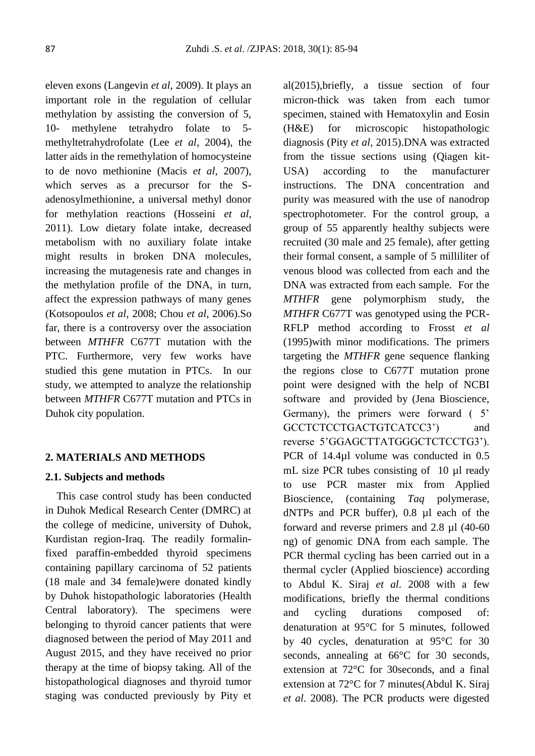eleven exons (Langevin *et al*, 2009). It plays an important role in the regulation of cellular methylation by assisting the conversion of 5, 10- methylene tetrahydro folate to 5 methyltetrahydrofolate (Lee *et al*, 2004), the latter aids in the remethylation of homocysteine to de novo methionine (Macis *et al*, 2007), which serves as a precursor for the Sadenosylmethionine, a universal methyl donor for methylation reactions (Hosseini *et al*, 2011). Low dietary folate intake, decreased metabolism with no auxiliary folate intake might results in broken DNA molecules, increasing the mutagenesis rate and changes in the methylation profile of the DNA, in turn, affect the expression pathways of many genes (Kotsopoulos *et al*, 2008; Chou *et al*, 2006).So far, there is a controversy over the association between *MTHFR* C677T mutation with the PTC. Furthermore, very few works have studied this gene mutation in PTCs. In our study, we attempted to analyze the relationship between *MTHFR* C677T mutation and PTCs in Duhok city population.

### **2. MATERIALS AND METHODS**

#### **2.1. Subjects and methods**

 This case control study has been conducted in Duhok Medical Research Center (DMRC) at the college of medicine, university of Duhok, Kurdistan region-Iraq. The readily formalinfixed paraffin-embedded thyroid specimens containing papillary carcinoma of 52 patients (18 male and 34 female)were donated kindly by Duhok histopathologic laboratories (Health Central laboratory). The specimens were belonging to thyroid cancer patients that were diagnosed between the period of May 2011 and August 2015, and they have received no prior therapy at the time of biopsy taking. All of the histopathological diagnoses and thyroid tumor staging was conducted previously by Pity et al(2015),briefly, a tissue section of four micron-thick was taken from each tumor specimen, stained with Hematoxylin and Eosin (H&E) for microscopic histopathologic diagnosis (Pity *et al*, 2015).DNA was extracted from the tissue sections using (Qiagen kit-USA) according to the manufacturer instructions. The DNA concentration and purity was measured with the use of nanodrop spectrophotometer. For the control group, a group of 55 apparently healthy subjects were recruited (30 male and 25 female), after getting their formal consent, a sample of 5 milliliter of venous blood was collected from each and the DNA was extracted from each sample. For the *MTHFR* gene polymorphism study, the *MTHFR* C677T was genotyped using the PCR-RFLP method according to Frosst *et al* (1995)with minor modifications. The primers targeting the *MTHFR* gene sequence flanking the regions close to C677T mutation prone point were designed with the help of NCBI software and provided by (Jena Bioscience, Germany), the primers were forward ( 5' GCCTCTCCTGACTGTCATCC3') and reverse 5'GGAGCTTATGGGCTCTCCTG3'). PCR of 14.4µl volume was conducted in 0.5 mL size PCR tubes consisting of 10 µl ready to use PCR master mix from Applied Bioscience, (containing *Taq* polymerase, dNTPs and PCR buffer), 0.8 µl each of the forward and reverse primers and 2.8 µl (40-60 ng) of genomic DNA from each sample. The PCR thermal cycling has been carried out in a thermal cycler (Applied bioscience) according to Abdul K. Siraj *et al*. 2008 with a few modifications, briefly the thermal conditions and cycling durations composed of: denaturation at 95°C for 5 minutes, followed by 40 cycles, denaturation at 95°C for 30 seconds, annealing at 66<sup>o</sup>C for 30 seconds, extension at 72°C for 30seconds, and a final extension at 72°C for 7 minutes(Abdul K. Siraj *et al*. 2008). The PCR products were digested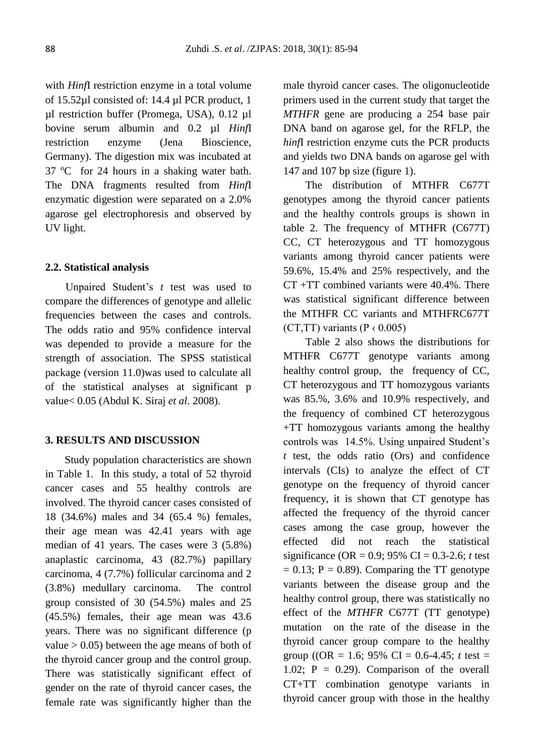with *Hinf*I restriction enzyme in a total volume of 15.52µl consisted of: 14.4 µl PCR product, 1 µl restriction buffer (Promega, USA), 0.12 µl bovine serum albumin and 0.2 µl *Hinf*I restriction enzyme (Jena Bioscience, Germany). The digestion mix was incubated at  $37 \text{ °C}$  for 24 hours in a shaking water bath. The DNA fragments resulted from *Hinf*I enzymatic digestion were separated on a 2.0% agarose gel electrophoresis and observed by UV light.

#### **2.2. Statistical analysis**

Unpaired Student's *t* test was used to compare the differences of genotype and allelic frequencies between the cases and controls. The odds ratio and 95% confidence interval was depended to provide a measure for the strength of association. The SPSS statistical package (version 11.0)was used to calculate all of the statistical analyses at significant p value< 0.05 (Abdul K. Siraj *et al*. 2008).

### **3. RESULTS AND DISCUSSION**

Study population characteristics are shown in Table 1. In this study, a total of 52 thyroid cancer cases and 55 healthy controls are involved. The thyroid cancer cases consisted of 18 (34.6%) males and 34 (65.4 %) females, their age mean was 42.41 years with age median of 41 years. The cases were 3 (5.8%) anaplastic carcinoma, 43 (82.7%) papillary carcinoma, 4 (7.7%) follicular carcinoma and 2 (3.8%) medullary carcinoma. The control group consisted of 30 (54.5%) males and 25 (45.5%) females, their age mean was 43.6 years. There was no significant difference (p value  $> 0.05$ ) between the age means of both of the thyroid cancer group and the control group. There was statistically significant effect of gender on the rate of thyroid cancer cases, the female rate was significantly higher than the

male thyroid cancer cases. The oligonucleotide primers used in the current study that target the *MTHFR* gene are producing a 254 base pair DNA band on agarose gel, for the RFLP, the *hinf*I restriction enzyme cuts the PCR products and yields two DNA bands on agarose gel with 147 and 107 bp size (figure 1).

The distribution of MTHFR C677T genotypes among the thyroid cancer patients and the healthy controls groups is shown in table 2. The frequency of MTHFR (C677T) CC, CT heterozygous and TT homozygous variants among thyroid cancer patients were 59.6%, 15.4% and 25% respectively, and the CT +TT combined variants were 40.4%. There was statistical significant difference between the MTHFR CC variants and MTHFRC677T (CT,TT) variants ( $P \nmid 0.005$ )

Table 2 also shows the distributions for MTHFR C677T genotype variants among healthy control group, the frequency of CC, CT heterozygous and TT homozygous variants was 85.%, 3.6% and 10.9% respectively, and the frequency of combined CT heterozygous +TT homozygous variants among the healthy controls was 14.5%. Using unpaired Student's *t* test, the odds ratio (Ors) and confidence intervals (CIs) to analyze the effect of CT genotype on the frequency of thyroid cancer frequency, it is shown that CT genotype has affected the frequency of the thyroid cancer cases among the case group, however the effected did not reach the statistical significance (OR =  $0.9$ ; 95% CI =  $0.3$ -2.6; *t* test  $= 0.13$ ; P  $= 0.89$ ). Comparing the TT genotype variants between the disease group and the healthy control group, there was statistically no effect of the *MTHFR* C677T (TT genotype) mutation on the rate of the disease in the thyroid cancer group compare to the healthy group ((OR = 1.6; 95% CI = 0.6-4.45; *t* test = 1.02;  $P = 0.29$ . Comparison of the overall CT+TT combination genotype variants in thyroid cancer group with those in the healthy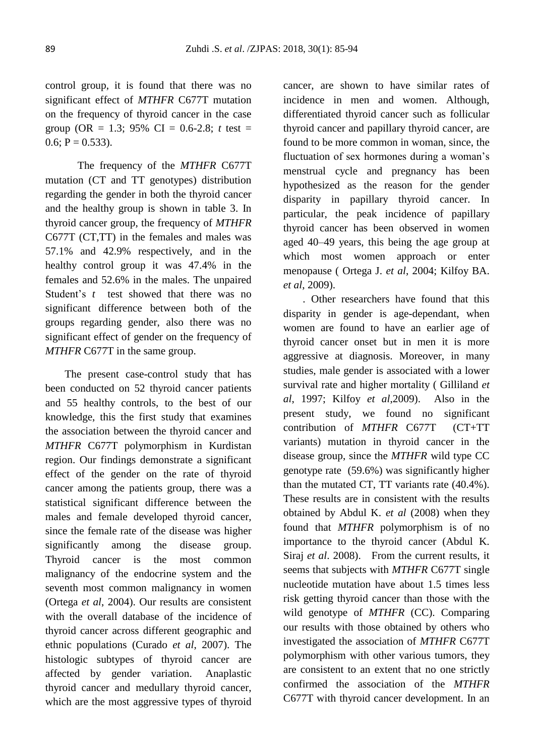control group, it is found that there was no significant effect of *MTHFR* C677T mutation on the frequency of thyroid cancer in the case group (OR = 1.3; 95% CI =  $0.6 - 2.8$ ; *t* test =  $0.6; P = 0.533$ .

The frequency of the *MTHFR* C677T mutation (CT and TT genotypes) distribution regarding the gender in both the thyroid cancer and the healthy group is shown in table 3. In thyroid cancer group, the frequency of *MTHFR* C677T (CT,TT) in the females and males was 57.1% and 42.9% respectively, and in the healthy control group it was 47.4% in the females and 52.6% in the males. The unpaired Student's *t* test showed that there was no significant difference between both of the groups regarding gender, also there was no significant effect of gender on the frequency of *MTHFR* C677T in the same group.

The present case-control study that has been conducted on 52 thyroid cancer patients and 55 healthy controls, to the best of our knowledge, this the first study that examines the association between the thyroid cancer and *MTHFR* C677T polymorphism in Kurdistan region. Our findings demonstrate a significant effect of the gender on the rate of thyroid cancer among the patients group, there was a statistical significant difference between the males and female developed thyroid cancer, since the female rate of the disease was higher significantly among the disease group. Thyroid cancer is the most common malignancy of the endocrine system and the seventh most common malignancy in women (Ortega *et al*, 2004). Our results are consistent with the overall database of the incidence of thyroid cancer across different geographic and ethnic populations (Curado *et al*, 2007). The histologic subtypes of thyroid cancer are affected by gender variation. Anaplastic thyroid cancer and medullary thyroid cancer, which are the most aggressive types of thyroid cancer, are shown to have similar rates of incidence in men and women. Although, differentiated thyroid cancer such as follicular thyroid cancer and papillary thyroid cancer, are found to be more common in woman, since, the fluctuation of sex hormones during a woman's menstrual cycle and pregnancy has been hypothesized as the reason for the gender disparity in papillary thyroid cancer. In particular, the peak incidence of papillary thyroid cancer has been observed in women aged 40–49 years, this being the age group at which most women approach or enter menopause ( Ortega J. *et al*, 2004; Kilfoy BA. *et al*, 2009).

. Other researchers have found that this disparity in gender is age-dependant, when women are found to have an earlier age of thyroid cancer onset but in men it is more aggressive at diagnosis. Moreover, in many studies, male gender is associated with a lower survival rate and higher mortality ( Gilliland *et al*, 1997; Kilfoy *et al*,2009). Also in the present study, we found no significant contribution of *MTHFR* C677T (CT+TT variants) mutation in thyroid cancer in the disease group, since the *MTHFR* wild type CC genotype rate (59.6%) was significantly higher than the mutated CT, TT variants rate (40.4%). These results are in consistent with the results obtained by Abdul K. *et al* (2008) when they found that *MTHFR* polymorphism is of no importance to the thyroid cancer (Abdul K. Siraj *et al*. 2008). From the current results, it seems that subjects with *MTHFR* C677T single nucleotide mutation have about 1.5 times less risk getting thyroid cancer than those with the wild genotype of *MTHFR* (CC). Comparing our results with those obtained by others who investigated the association of *MTHFR* C677T polymorphism with other various tumors, they are consistent to an extent that no one strictly confirmed the association of the *MTHFR* C677T with thyroid cancer development. In an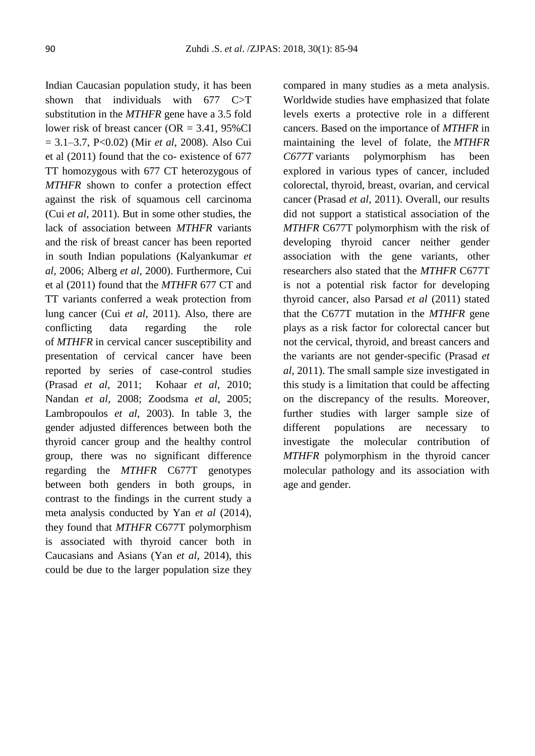Indian Caucasian population study, it has been shown that individuals with 677 C>T substitution in the *MTHFR* gene have a 3.5 fold lower risk of breast cancer (OR = 3.41, 95%CI = 3.1–3.7, P<0.02) (Mir *et al*, 2008). Also Cui et al (2011) found that the co- existence of 677 TT homozygous with 677 CT heterozygous of *MTHFR* shown to confer a protection effect against the risk of squamous cell carcinoma (Cui *et al*, 2011). But in some other studies, the lack of association between *MTHFR* variants and the risk of breast cancer has been reported in south Indian populations (Kalyankumar *et al*, 2006; Alberg *et al*, 2000). Furthermore, Cui et al (2011) found that the *MTHFR* 677 CT and TT variants conferred a weak protection from lung cancer (Cui *et al*, 2011). Also, there are conflicting data regarding the role of *MTHFR* in cervical cancer susceptibility and presentation of cervical cancer have been reported by series of case-control studies (Prasad *et al*, 2011; Kohaar *et al*, 2010; Nandan *et al*, 2008; Zoodsma *et al*, 2005; Lambropoulos *et al*, 2003). In table 3, the gender adjusted differences between both the thyroid cancer group and the healthy control group, there was no significant difference regarding the *MTHFR* C677T genotypes between both genders in both groups, in contrast to the findings in the current study a meta analysis conducted by Yan *et al* (2014), they found that *MTHFR* C677T polymorphism is associated with thyroid cancer both in Caucasians and Asians (Yan *et al*, 2014), this could be due to the larger population size they compared in many studies as a meta analysis. Worldwide studies have emphasized that folate levels exerts a protective role in a different cancers. Based on the importance of *MTHFR* in maintaining the level of folate, the *MTHFR C677T* variants polymorphism has been explored in various types of cancer, included colorectal, thyroid, breast, ovarian, and cervical cancer (Prasad *et al*, 2011). Overall, our results did not support a statistical association of the *MTHFR* C677T polymorphism with the risk of developing thyroid cancer neither gender association with the gene variants, other researchers also stated that the *MTHFR* C677T is not a potential risk factor for developing thyroid cancer, also Parsad *et al* (2011) stated that the C677T mutation in the *MTHFR* gene plays as a risk factor for colorectal cancer but not the cervical, thyroid, and breast cancers and the variants are not gender-specific (Prasad *et al*, 2011). The small sample size investigated in this study is a limitation that could be affecting on the discrepancy of the results. Moreover, further studies with larger sample size of different populations are necessary to investigate the molecular contribution of *MTHFR* polymorphism in the thyroid cancer molecular pathology and its association with age and gender.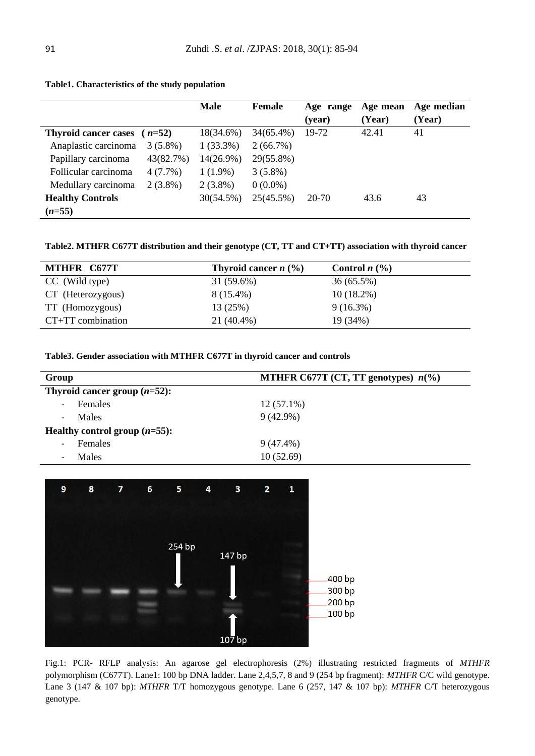|                             |            | <b>Male</b>  | Female       | Age range<br>(year) | Age mean<br>(Year) | Age median<br>(Year) |
|-----------------------------|------------|--------------|--------------|---------------------|--------------------|----------------------|
| <b>Thyroid cancer cases</b> | $(n=52)$   | 18(34.6%)    | $34(65.4\%)$ | 19-72               | 42.41              | 41                   |
| Anaplastic carcinoma        | $3(5.8\%)$ | $1(33.3\%)$  | 2(66.7%)     |                     |                    |                      |
| Papillary carcinoma         | 43(82.7%)  | $14(26.9\%)$ | 29(55.8%)    |                     |                    |                      |
| Follicular carcinoma        | $4(7.7\%)$ | $1(1.9\%)$   | $3(5.8\%)$   |                     |                    |                      |
| Medullary carcinoma         | $2(3.8\%)$ | $2(3.8\%)$   | $0(0.0\%)$   |                     |                    |                      |
| <b>Healthy Controls</b>     |            | 30(54.5%)    | 25(45.5%)    | 20-70               | 43.6               | 43                   |
| $(n=55)$                    |            |              |              |                     |                    |                      |

#### **Table1. Characteristics of the study population**

**Table2. MTHFR C677T distribution and their genotype (CT, TT and CT+TT) association with thyroid cancer**

| MTHFR C677T         | Thyroid cancer $n$ (%) | Control $n$ $(\%)$ |
|---------------------|------------------------|--------------------|
| CC (Wild type)      | $31(59.6\%)$           | 36(65.5%)          |
| CT (Heterozygous)   | 8 (15.4%)              | $10(18.2\%)$       |
| TT (Homozygous)     | 13 (25%)               | $9(16.3\%)$        |
| $CT+TT$ combination | $21(40.4\%)$           | 19 (34%)           |

**Table3. Gender association with MTHFR C677T in thyroid cancer and controls**

| Group                    |                                  | MTHFR C677T (CT, TT genotypes) $n\binom{0}{0}$ |  |  |
|--------------------------|----------------------------------|------------------------------------------------|--|--|
|                          | Thyroid cancer group $(n=52)$ :  |                                                |  |  |
| $\overline{\phantom{a}}$ | Females                          | $12(57.1\%)$                                   |  |  |
| $\overline{\phantom{a}}$ | Males                            | $9(42.9\%)$                                    |  |  |
|                          | Healthy control group $(n=55)$ : |                                                |  |  |
| $\overline{\phantom{a}}$ | Females                          | $9(47.4\%)$                                    |  |  |
| $\overline{\phantom{a}}$ | Males                            | 10(52.69)                                      |  |  |



Fig.1: PCR- RFLP analysis: An agarose gel electrophoresis (2%) illustrating restricted fragments of *MTHFR* polymorphism (C677T). Lane1: 100 bp DNA ladder. Lane 2,4,5,7, 8 and 9 (254 bp fragment): *MTHFR* C/C wild genotype. Lane 3 (147 & 107 bp): *MTHFR* T/T homozygous genotype. Lane 6 (257, 147 & 107 bp): *MTHFR* C/T heterozygous genotype.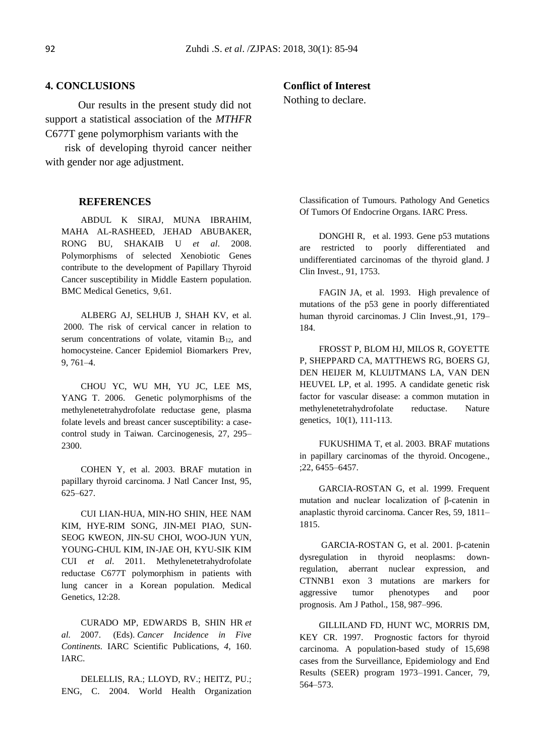#### **4. CONCLUSIONS**

 Our results in the present study did not support a statistical association of the *MTHFR* C677T gene polymorphism variants with the

risk of developing thyroid cancer neither with gender nor age adjustment.

#### **REFERENCES**

ABDUL K SIRAJ, MUNA IBRAHIM, MAHA AL-RASHEED, JEHAD ABUBAKER, RONG BU, SHAKAIB U *et al*. 2008. Polymorphisms of selected Xenobiotic Genes contribute to the development of Papillary Thyroid Cancer susceptibility in Middle Eastern population. BMC Medical Genetics, 9,61.

ALBERG AJ, SELHUB J, SHAH KV, et al. 2000. The risk of cervical cancer in relation to serum concentrations of volate, vitamin  $B_{12}$ , and homocysteine. Cancer Epidemiol Biomarkers Prev, 9, 761–4.

CHOU YC, WU MH, YU JC, LEE MS, YANG T. 2006. Genetic polymorphisms of the methylenetetrahydrofolate reductase gene, plasma folate levels and breast cancer susceptibility: a casecontrol study in Taiwan. Carcinogenesis, 27, 295– 2300.

COHEN Y, et al. 2003. BRAF mutation in papillary thyroid carcinoma. J Natl Cancer Inst, 95, 625–627.

CUI LIAN-HUA, MIN-HO SHIN, HEE NAM KIM, HYE-RIM SONG, JIN-MEI PIAO, SUN-SEOG KWEON, JIN-SU CHOI, WOO-JUN YUN, YOUNG-CHUL KIM, IN-JAE OH, KYU-SIK KIM CUI *et al*. 2011. Methylenetetrahydrofolate reductase C677T polymorphism in patients with lung cancer in a Korean population. Medical Genetics, 12:28.

CURADO MP, EDWARDS B, SHIN HR *et al.* 2007. (Eds). *Cancer Incidence in Five Continents.* IARC Scientific Publications, *4,* 160. IARC.

DELELLIS, RA.; LLOYD, RV.; HEITZ, PU.; ENG, C. 2004. World Health Organization

#### **Conflict of Interest**

Nothing to declare.

Classification of Tumours. Pathology And Genetics Of Tumors Of Endocrine Organs. IARC Press.

DONGHI R, et al. 1993. Gene p53 mutations are restricted to poorly differentiated and undifferentiated carcinomas of the thyroid gland. J Clin Invest., 91, 1753.

FAGIN JA, et al. 1993. High prevalence of mutations of the p53 gene in poorly differentiated human thyroid carcinomas. J Clin Invest.,91, 179– 184.

FROSST P, BLOM HJ, MILOS R, GOYETTE P, SHEPPARD CA, MATTHEWS RG, BOERS GJ, DEN HEIJER M, KLUIJTMANS LA, VAN DEN HEUVEL LP, et al. 1995. A candidate genetic risk factor for vascular disease: a common mutation in methylenetetrahydrofolate reductase. Nature genetics, 10(1), 111-113.

FUKUSHIMA T, et al. 2003. BRAF mutations in papillary carcinomas of the thyroid. Oncogene., ;22, 6455–6457.

GARCIA-ROSTAN G, et al. 1999. Frequent mutation and nuclear localization of β-catenin in anaplastic thyroid carcinoma. Cancer Res, 59, 1811– 1815.

GARCIA-ROSTAN G, et al. 2001. β-catenin dysregulation in thyroid neoplasms: downregulation, aberrant nuclear expression, and CTNNB1 exon 3 mutations are markers for aggressive tumor phenotypes and poor prognosis. Am J Pathol., 158, 987–996.

GILLILAND FD, HUNT WC, MORRIS DM, KEY CR. 1997. Prognostic factors for thyroid carcinoma. A population-based study of 15,698 cases from the Surveillance, Epidemiology and End Results (SEER) program 1973–1991. Cancer, 79, 564–573.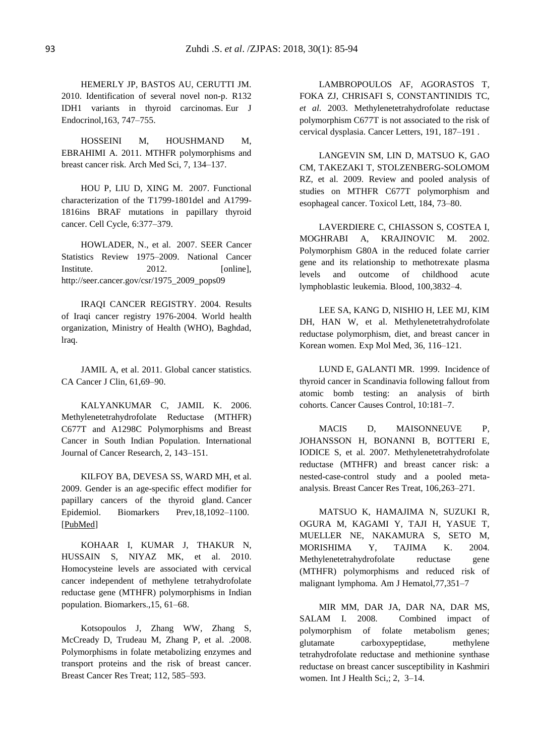HEMERLY JP, BASTOS AU, CERUTTI JM. 2010. Identification of several novel non-p. R132 IDH1 variants in thyroid carcinomas. Eur J Endocrinol,163, 747–755.

HOSSEINI M, HOUSHMAND M, EBRAHIMI A. 2011. MTHFR polymorphisms and breast cancer risk. Arch Med Sci, 7, 134–137.

HOU P, LIU D, XING M. 2007. Functional characterization of the T1799-1801del and A1799- 1816ins BRAF mutations in papillary thyroid cancer. Cell Cycle, 6:377–379.

HOWLADER, N., et al. 2007. SEER Cancer Statistics Review 1975–2009. National Cancer Institute. 2012. [online], http://seer.cancer.gov/csr/1975\_2009\_pops09

IRAQI CANCER REGISTRY. 2004. Results of Iraqi cancer registry 1976-2004. World health organization, Ministry of Health (WHO), Baghdad, lraq.

JAMIL A, et al. 2011. Global cancer statistics. CA Cancer J Clin, 61,69–90.

KALYANKUMAR C, JAMIL K. 2006. Methylenetetrahydrofolate Reductase (MTHFR) C677T and A1298C Polymorphisms and Breast Cancer in South Indian Population. International Journal of Cancer Research, 2, 143–151.

KILFOY BA, DEVESA SS, WARD MH, et al. 2009. Gender is an age-specific effect modifier for papillary cancers of the thyroid gland. Cancer Epidemiol. Biomarkers Prev,18,1092–1100. [\[PubMed\]](https://www.ncbi.nlm.nih.gov/pubmed/19293311)

KOHAAR I, KUMAR J, THAKUR N, HUSSAIN S, NIYAZ MK, et al. 2010. Homocysteine levels are associated with cervical cancer independent of methylene tetrahydrofolate reductase gene (MTHFR) polymorphisms in Indian population. Biomarkers.,15, 61–68.

Kotsopoulos J, Zhang WW, Zhang S, McCready D, Trudeau M, Zhang P, et al. .2008. Polymorphisms in folate metabolizing enzymes and transport proteins and the risk of breast cancer. Breast Cancer Res Treat; 112, 585–593.

LAMBROPOULOS AF, AGORASTOS T, FOKA ZJ, CHRISAFI S, CONSTANTINIDIS TC, *et al*. 2003. Methylenetetrahydrofolate reductase polymorphism C677T is not associated to the risk of cervical dysplasia. Cancer Letters, 191, 187–191 .

LANGEVIN SM, LIN D, MATSUO K, GAO CM, TAKEZAKI T, STOLZENBERG-SOLOMOM RZ, et al. 2009. Review and pooled analysis of studies on MTHFR C677T polymorphism and esophageal cancer. Toxicol Lett, 184, 73–80.

LAVERDIERE C, CHIASSON S, COSTEA I, MOGHRABI A, KRAJINOVIC M. 2002. Polymorphism G80A in the reduced folate carrier gene and its relationship to methotrexate plasma levels and outcome of childhood acute lymphoblastic leukemia. Blood, 100,3832–4.

LEE SA, KANG D, NISHIO H, LEE MJ, KIM DH, HAN W, et al. Methylenetetrahydrofolate reductase polymorphism, diet, and breast cancer in Korean women. Exp Mol Med, 36, 116–121.

LUND E, GALANTI MR. 1999. Incidence of thyroid cancer in Scandinavia following fallout from atomic bomb testing: an analysis of birth cohorts. Cancer Causes Control, 10:181–7.

MACIS D, MAISONNEUVE P, JOHANSSON H, BONANNI B, BOTTERI E, IODICE S, et al. 2007. Methylenetetrahydrofolate reductase (MTHFR) and breast cancer risk: a nested-case-control study and a pooled metaanalysis. Breast Cancer Res Treat, 106,263–271.

MATSUO K, HAMAJIMA N, SUZUKI R, OGURA M, KAGAMI Y, TAJI H, YASUE T, MUELLER NE, NAKAMURA S, SETO M, MORISHIMA Y, TAJIMA K. 2004. Methylenetetrahydrofolate reductase gene (MTHFR) polymorphisms and reduced risk of malignant lymphoma. Am J Hematol,77,351–7

MIR MM, DAR JA, DAR NA, DAR MS, SALAM I. 2008. Combined impact of polymorphism of folate metabolism genes; glutamate carboxypeptidase, methylene tetrahydrofolate reductase and methionine synthase reductase on breast cancer susceptibility in Kashmiri women. Int J Health Sci, ; 2, 3–14.